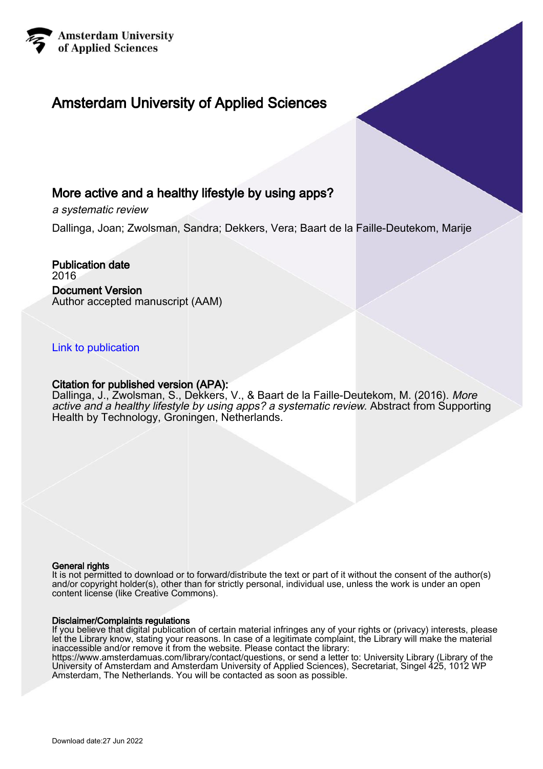

## Amsterdam University of Applied Sciences

### More active and a healthy lifestyle by using apps?

a systematic review

Dallinga, Joan; Zwolsman, Sandra; Dekkers, Vera; Baart de la Faille-Deutekom, Marije

Publication date 2016 Document Version Author accepted manuscript (AAM)

### [Link to publication](https://research.hva.nl/en/publications/6f173e2c-ad49-4ce1-87f8-cf49b8b70e73)

### Citation for published version (APA):

Dallinga, J., Zwolsman, S., Dekkers, V., & Baart de la Faille-Deutekom, M. (2016). More active and a healthy lifestyle by using apps? a systematic review. Abstract from Supporting Health by Technology, Groningen, Netherlands.

### General rights

It is not permitted to download or to forward/distribute the text or part of it without the consent of the author(s) and/or copyright holder(s), other than for strictly personal, individual use, unless the work is under an open content license (like Creative Commons).

#### Disclaimer/Complaints regulations

If you believe that digital publication of certain material infringes any of your rights or (privacy) interests, please let the Library know, stating your reasons. In case of a legitimate complaint, the Library will make the material inaccessible and/or remove it from the website. Please contact the library:

https://www.amsterdamuas.com/library/contact/questions, or send a letter to: University Library (Library of the University of Amsterdam and Amsterdam University of Applied Sciences), Secretariat, Singel 425, 1012 WP Amsterdam, The Netherlands. You will be contacted as soon as possible.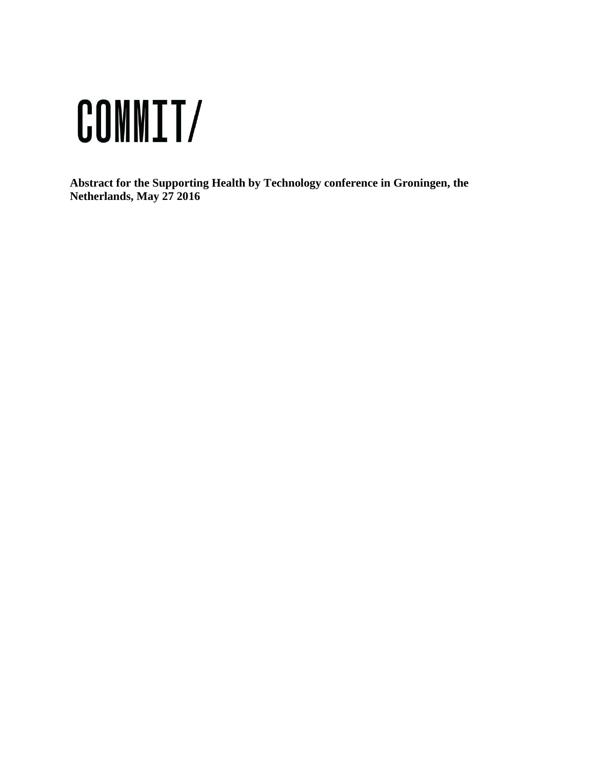# COMMIT/

**Abstract for the Supporting Health by Technology conference in Groningen, the Netherlands, May 27 2016**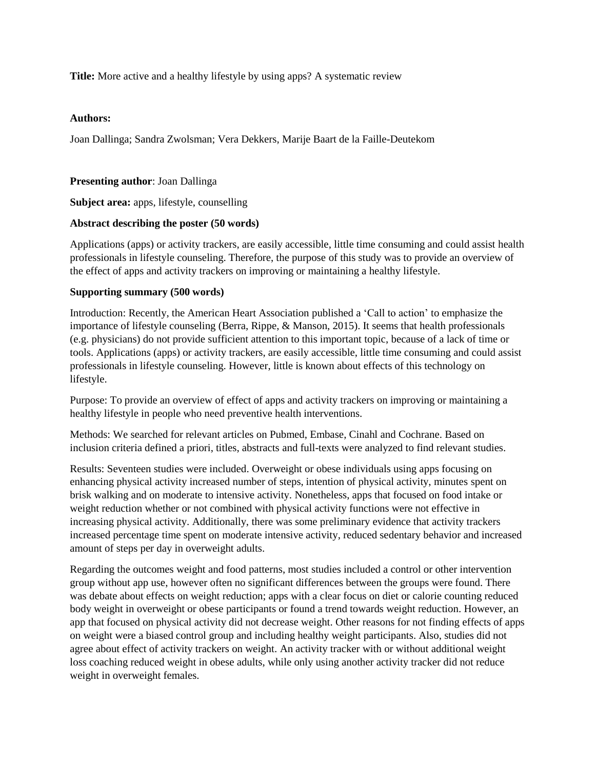**Title:** More active and a healthy lifestyle by using apps? A systematic review

### **Authors:**

Joan Dallinga; Sandra Zwolsman; Vera Dekkers, Marije Baart de la Faille-Deutekom

### **Presenting author**: Joan Dallinga

**Subject area:** apps, lifestyle, counselling

### **Abstract describing the poster (50 words)**

Applications (apps) or activity trackers, are easily accessible, little time consuming and could assist health professionals in lifestyle counseling. Therefore, the purpose of this study was to provide an overview of the effect of apps and activity trackers on improving or maintaining a healthy lifestyle.

### **Supporting summary (500 words)**

Introduction: Recently, the American Heart Association published a 'Call to action' to emphasize the importance of lifestyle counseling (Berra, Rippe, & Manson, 2015). It seems that health professionals (e.g. physicians) do not provide sufficient attention to this important topic, because of a lack of time or tools. Applications (apps) or activity trackers, are easily accessible, little time consuming and could assist professionals in lifestyle counseling. However, little is known about effects of this technology on lifestyle.

Purpose: To provide an overview of effect of apps and activity trackers on improving or maintaining a healthy lifestyle in people who need preventive health interventions.

Methods: We searched for relevant articles on Pubmed, Embase, Cinahl and Cochrane. Based on inclusion criteria defined a priori, titles, abstracts and full-texts were analyzed to find relevant studies.

Results: Seventeen studies were included. Overweight or obese individuals using apps focusing on enhancing physical activity increased number of steps, intention of physical activity, minutes spent on brisk walking and on moderate to intensive activity. Nonetheless, apps that focused on food intake or weight reduction whether or not combined with physical activity functions were not effective in increasing physical activity. Additionally, there was some preliminary evidence that activity trackers increased percentage time spent on moderate intensive activity, reduced sedentary behavior and increased amount of steps per day in overweight adults.

Regarding the outcomes weight and food patterns, most studies included a control or other intervention group without app use, however often no significant differences between the groups were found. There was debate about effects on weight reduction; apps with a clear focus on diet or calorie counting reduced body weight in overweight or obese participants or found a trend towards weight reduction. However, an app that focused on physical activity did not decrease weight. Other reasons for not finding effects of apps on weight were a biased control group and including healthy weight participants. Also, studies did not agree about effect of activity trackers on weight. An activity tracker with or without additional weight loss coaching reduced weight in obese adults, while only using another activity tracker did not reduce weight in overweight females.